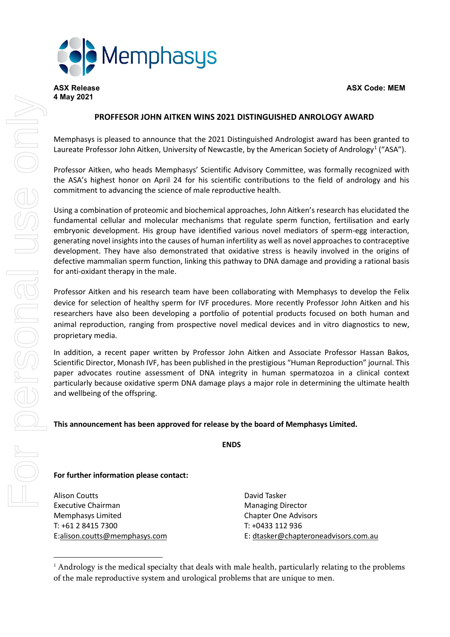

**4 May 2021**

## **PROFFESOR JOHN AITKEN WINS 2021 DISTINGUISHED ANROLOGY AWARD**

Memphasys is pleased to announce that the 2021 Distinguished Andrologist award has been granted to Laureate Professor John Aitken, University of Newcastle, by the American Society of Andrology<sup>[1](#page-0-0)</sup> ("ASA").

Professor Aitken, who heads Memphasys' Scientific Advisory Committee, was formally recognized with the ASA's highest honor on April 24 for his scientific contributions to the field of andrology and his commitment to advancing the science of male reproductive health.

Using a combination of proteomic and biochemical approaches, John Aitken's research has elucidated the fundamental cellular and molecular mechanisms that regulate sperm function, fertilisation and early embryonic development. His group have identified various novel mediators of sperm-egg interaction, generating novel insights into the causes of human infertility as well as novel approaches to contraceptive development. They have also demonstrated that oxidative stress is heavily involved in the origins of defective mammalian sperm function, linking this pathway to DNA damage and providing a rational basis for anti-oxidant therapy in the male.

Professor Aitken and his research team have been collaborating with Memphasys to develop the Felix device for selection of healthy sperm for IVF procedures. More recently Professor John Aitken and his researchers have also been developing a portfolio of potential products focused on both human and animal reproduction, ranging from prospective novel medical devices and in vitro diagnostics to new, proprietary media.

In addition, a recent paper written by Professor John Aitken and Associate Professor Hassan Bakos, Scientific Director, Monash IVF, has been published in the prestigious "Human Reproduction" journal. This paper advocates routine assessment of DNA integrity in human spermatozoa in a clinical context particularly because oxidative sperm DNA damage plays a major role in determining the ultimate health and wellbeing of the offspring.

## **This announcement has been approved for release by the board of Memphasys Limited.**

**ENDS**

## **For further information please contact:**

Alison Coutts **David Tasker** Executive Chairman Managing Director Memphasys Limited Chapter One Advisors T: +61 2 8415 7300 T: +0433 112 936

E[:alison.coutts@memphasys.com](mailto:alison.coutts@memphasys.com) E: [dtasker@chapteroneadvisors.com.au](mailto:dtasker@chapteroneadvisors.com.au)

<span id="page-0-0"></span><sup>&</sup>lt;sup>1</sup> Andrology is the medical specialty that deals with male health, particularly relating to the problems of the male reproductive system and urological problems that are unique to men.